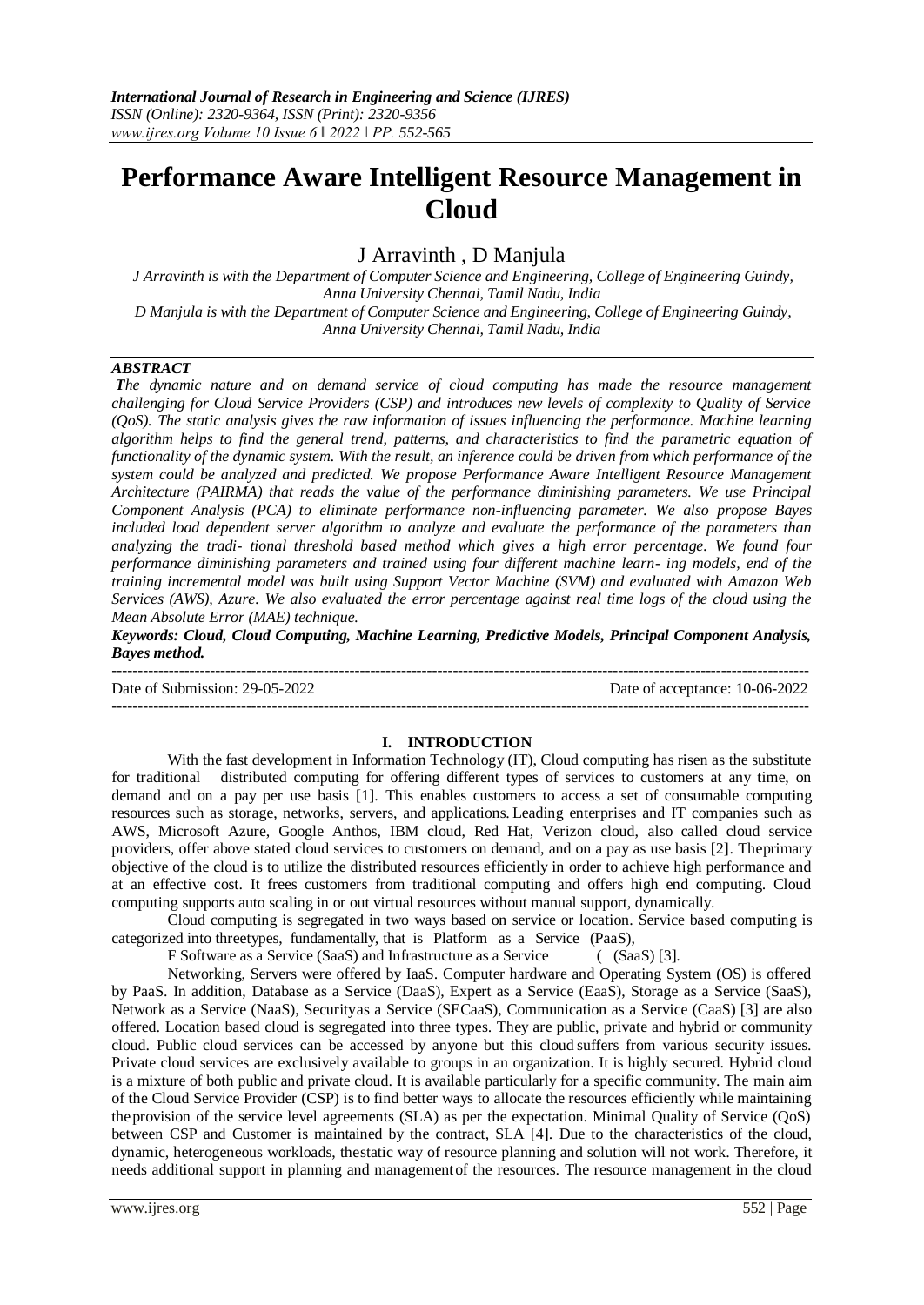# **Performance Aware Intelligent Resource Management in Cloud**

# J Arravinth , D Manjula

*J Arravinth is with the Department of Computer Science and Engineering, College of Engineering Guindy, Anna University Chennai, Tamil Nadu, India D Manjula is with the Department of Computer Science and Engineering, College of Engineering Guindy, Anna University Chennai, Tamil Nadu, India*

# *ABSTRACT*

*The dynamic nature and on demand service of cloud computing has made the resource management challenging for Cloud Service Providers (CSP) and introduces new levels of complexity to Quality of Service (QoS). The static analysis gives the raw information of issues influencing the performance. Machine learning algorithm helps to find the general trend, patterns, and characteristics to find the parametric equation of functionality of the dynamic system. With the result, an inference could be driven from which performance of the system could be analyzed and predicted. We propose Performance Aware Intelligent Resource Management Architecture (PAIRMA) that reads the value of the performance diminishing parameters. We use Principal Component Analysis (PCA) to eliminate performance non-influencing parameter. We also propose Bayes included load dependent server algorithm to analyze and evaluate the performance of the parameters than analyzing the tradi- tional threshold based method which gives a high error percentage. We found four performance diminishing parameters and trained using four different machine learn- ing models, end of the training incremental model was built using Support Vector Machine (SVM) and evaluated with Amazon Web Services (AWS), Azure. We also evaluated the error percentage against real time logs of the cloud using the Mean Absolute Error (MAE) technique.*

*Keywords: Cloud, Cloud Computing, Machine Learning, Predictive Models, Principal Component Analysis, Bayes method.*

--------------------------------------------------------------------------------------------------------------------------------------- Date of Submission: 29-05-2022 Date of acceptance: 10-06-2022 ---------------------------------------------------------------------------------------------------------------------------------------

#### **I. INTRODUCTION**

With the fast development in Information Technology (IT), Cloud computing has risen as the substitute for traditional distributed computing for offering different types of services to customers at any time, on demand and on a pay per use basis [1]. This enables customers to access a set of consumable computing resources such as storage, networks, servers, and applications. Leading enterprises and IT companies such as AWS, Microsoft Azure, Google Anthos, IBM cloud, Red Hat, Verizon cloud, also called cloud service providers, offer above stated cloud services to customers on demand, and on a pay as use basis [2]. Theprimary objective of the cloud is to utilize the distributed resources efficiently in order to achieve high performance and at an effective cost. It frees customers from traditional computing and offers high end computing. Cloud computing supports auto scaling in or out virtual resources without manual support, dynamically.

Cloud computing is segregated in two ways based on service or location. Service based computing is categorized into threetypes, fundamentally, that is Platform as a Service (PaaS),

F Software as a Service (SaaS) and Infrastructure as a Service (  $(SaaS)$  [3].

Networking, Servers were offered by IaaS. Computer hardware and Operating System (OS) is offered by PaaS. In addition, Database as a Service (DaaS), Expert as a Service (EaaS), Storage as a Service (SaaS), Network as a Service (NaaS), Securityas a Service (SECaaS), Communication as a Service (CaaS) [3] are also offered. Location based cloud is segregated into three types. They are public, private and hybrid or community cloud. Public cloud services can be accessed by anyone but this cloud suffers from various security issues. Private cloud services are exclusively available to groups in an organization. It is highly secured. Hybrid cloud is a mixture of both public and private cloud. It is available particularly for a specific community. The main aim of the Cloud Service Provider (CSP) is to find better ways to allocate the resources efficiently while maintaining theprovision of the service level agreements (SLA) as per the expectation. Minimal Quality of Service (QoS) between CSP and Customer is maintained by the contract, SLA [4]. Due to the characteristics of the cloud, dynamic, heterogeneous workloads, thestatic way of resource planning and solution will not work. Therefore, it needs additional support in planning and managementof the resources. The resource management in the cloud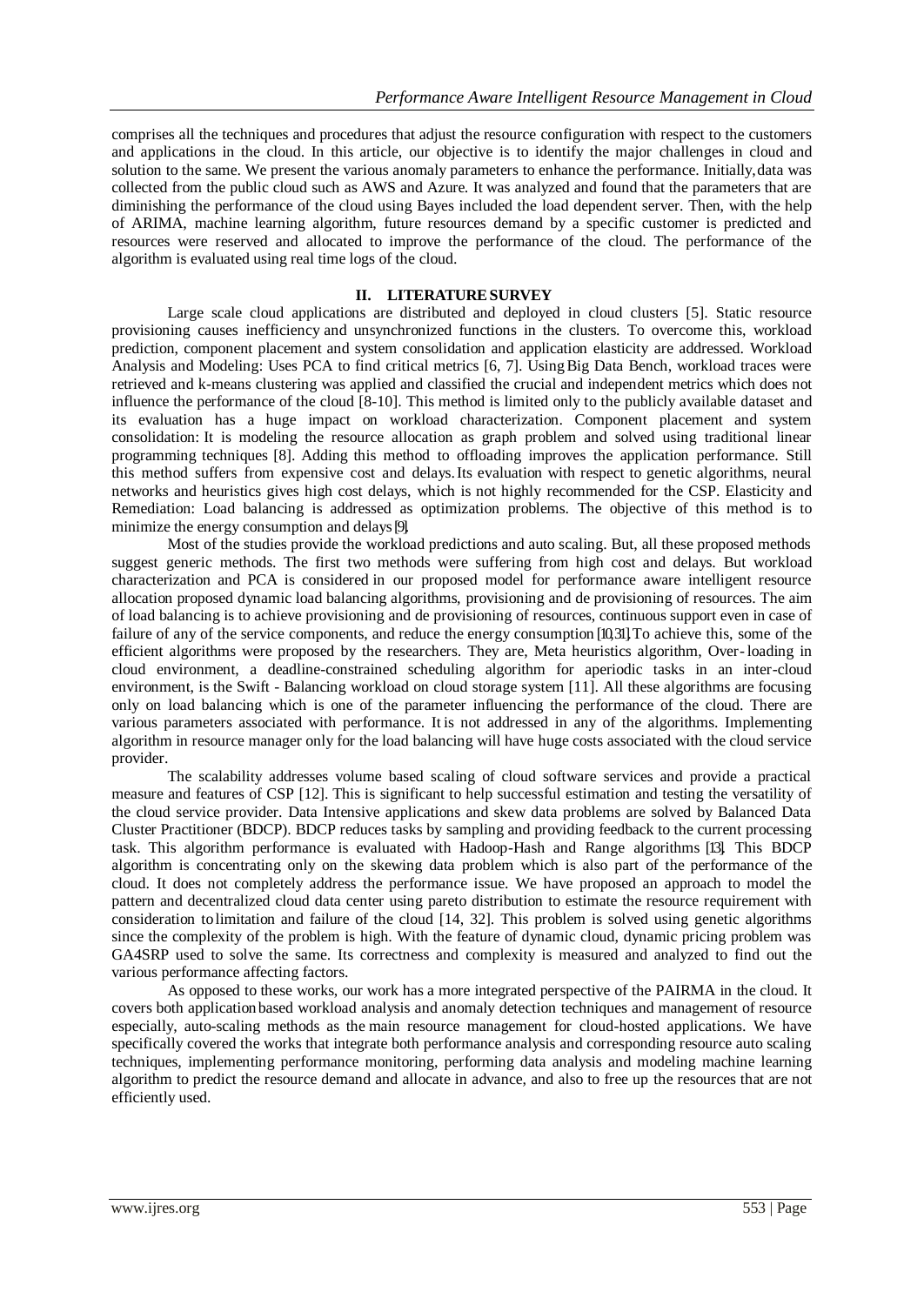comprises all the techniques and procedures that adjust the resource configuration with respect to the customers and applications in the cloud. In this article, our objective is to identify the major challenges in cloud and solution to the same. We present the various anomaly parameters to enhance the performance. Initially,data was collected from the public cloud such as AWS and Azure. It was analyzed and found that the parameters that are diminishing the performance of the cloud using Bayes included the load dependent server. Then, with the help of ARIMA, machine learning algorithm, future resources demand by a specific customer is predicted and resources were reserved and allocated to improve the performance of the cloud. The performance of the algorithm is evaluated using real time logs of the cloud.

## **II. LITERATURESURVEY**

Large scale cloud applications are distributed and deployed in cloud clusters [5]. Static resource provisioning causes inefficiency and unsynchronized functions in the clusters. To overcome this, workload prediction, component placement and system consolidation and application elasticity are addressed. Workload Analysis and Modeling: Uses PCA to find critical metrics [6, 7]. UsingBig Data Bench, workload traces were retrieved and k-means clustering was applied and classified the crucial and independent metrics which does not influence the performance of the cloud [8-10]. This method is limited only to the publicly available dataset and its evaluation has a huge impact on workload characterization. Component placement and system consolidation: It is modeling the resource allocation as graph problem and solved using traditional linear programming techniques [8]. Adding this method to offloading improves the application performance. Still this method suffers from expensive cost and delays.Its evaluation with respect to genetic algorithms, neural networks and heuristics gives high cost delays, which is not highly recommended for the CSP. Elasticity and Remediation: Load balancing is addressed as optimization problems. The objective of this method is to minimize the energy consumption and delays[9].

Most of the studies provide the workload predictions and auto scaling. But, all these proposed methods suggest generic methods. The first two methods were suffering from high cost and delays. But workload characterization and PCA is considered in our proposed model for performance aware intelligent resource allocation proposed dynamic load balancing algorithms, provisioning and de provisioning of resources. The aim of load balancing is to achieve provisioning and de provisioning of resources, continuous support even in case of failure of any of the service components, and reduce the energy consumption [10,31]. To achieve this, some of the efficient algorithms were proposed by the researchers. They are, Meta heuristics algorithm, Over-loading in cloud environment, a deadline-constrained scheduling algorithm for aperiodic tasks in an inter-cloud environment, is the Swift - Balancing workload on cloud storage system [11]. All these algorithms are focusing only on load balancing which is one of the parameter influencing the performance of the cloud. There are various parameters associated with performance. It is not addressed in any of the algorithms. Implementing algorithm in resource manager only for the load balancing will have huge costs associated with the cloud service provider.

The scalability addresses volume based scaling of cloud software services and provide a practical measure and features of CSP [12]. This is significant to help successful estimation and testing the versatility of the cloud service provider. Data Intensive applications and skew data problems are solved by Balanced Data Cluster Practitioner (BDCP). BDCP reduces tasks by sampling and providing feedback to the current processing task. This algorithm performance is evaluated with Hadoop-Hash and Range algorithms [13]. This BDCP algorithm is concentrating only on the skewing data problem which is also part of the performance of the cloud. It does not completely address the performance issue. We have proposed an approach to model the pattern and decentralized cloud data center using pareto distribution to estimate the resource requirement with consideration tolimitation and failure of the cloud [14, 32]. This problem is solved using genetic algorithms since the complexity of the problem is high. With the feature of dynamic cloud, dynamic pricing problem was GA4SRP used to solve the same. Its correctness and complexity is measured and analyzed to find out the various performance affecting factors.

As opposed to these works, our work has a more integrated perspective of the PAIRMA in the cloud. It covers both applicationbased workload analysis and anomaly detection techniques and management of resource especially, auto-scaling methods as the main resource management for cloud-hosted applications. We have specifically covered the works that integrate both performance analysis and corresponding resource auto scaling techniques, implementing performance monitoring, performing data analysis and modeling machine learning algorithm to predict the resource demand and allocate in advance, and also to free up the resources that are not efficiently used.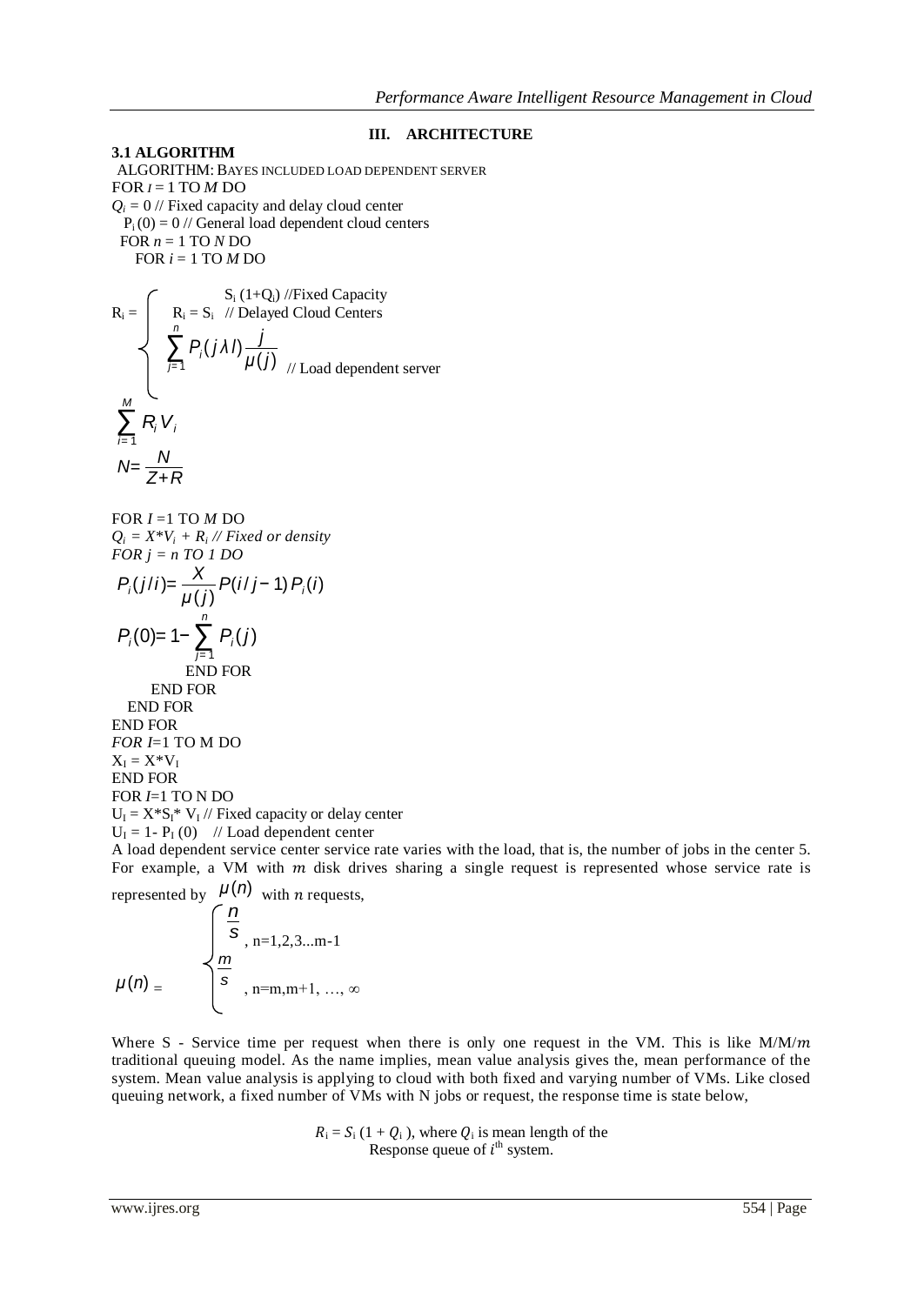## **III. ARCHITECTURE**

**3.1 ALGORITHM** ALGORITHM: BAYES INCLUDED LOAD DEPENDENT SERVER FOR *I* = 1 TO *M* DO  $Q_i = 0$  // Fixed capacity and delay cloud center  $P_i(0) = 0$  // General load dependent cloud centers FOR  $n = 1$  TO  $N$  DO FOR  $i = 1$  TO  $M$  DO

$$
R_i = \begin{cases} R_i = S_i & \text{if } i + Q_i \text{ and } i \text{ is a constant} \\ R_i = S_i & \text{if } i \text{ and } i \text{ is a constant} \\ \sum_{j=1}^{n} P_j(j\lambda I) \frac{j}{\mu(j)} \\ \sum_{j=1}^{M} R_j V_j \\ N = \frac{N}{Z + R} \end{cases}
$$

FOR *I* =1 TO *M* DO  $Q_i = X^*V_i + R_i$  // Fixed or density *FOR j = n TO 1 DO*

$$
P_i(j/i) = \frac{X}{\mu(j)} P(i/j - 1) P_i(i)
$$
  
\n
$$
P_i(0) = 1 - \sum_{j=1}^{n} P_i(j)
$$
  
\nEND FOR  
\nEND FOR  
\nEND FOR  
\nEND FOR  
\nEND FOR  
\n
$$
FOR I = 1 \text{ TO M DO}
$$
  
\n
$$
X_i = X^*V_i
$$

END FOR FOR *I*=1 TO N DO  $U_I = X^*S_I^* V_I$  // Fixed capacity or delay center  $U_I = 1 - P_I(0)$  // Load dependent center

A load dependent service center service rate varies with the load, that is, the number of jobs in the center 5. For example, a VM with  $m$  disk drives sharing a single request is represented whose service rate is

represented by 
$$
\mu(n)
$$
 with *n* requests,  
\n
$$
\int \frac{n}{s}, n=1,2,3...m-1
$$
\n
$$
\mu(n) = \begin{cases}\n\frac{n}{s}, & n=m,m+1, ..., \infty \\
\end{cases}
$$

Where S - Service time per request when there is only one request in the VM. This is like  $M/M/m$ traditional queuing model. As the name implies, mean value analysis gives the, mean performance of the system. Mean value analysis is applying to cloud with both fixed and varying number of VMs. Like closed queuing network, a fixed number of VMs with N jobs or request, the response time is state below,

> $R_i = S_i (1 + Q_i)$ , where  $Q_i$  is mean length of the Response queue of  $i^{\text{th}}$  system.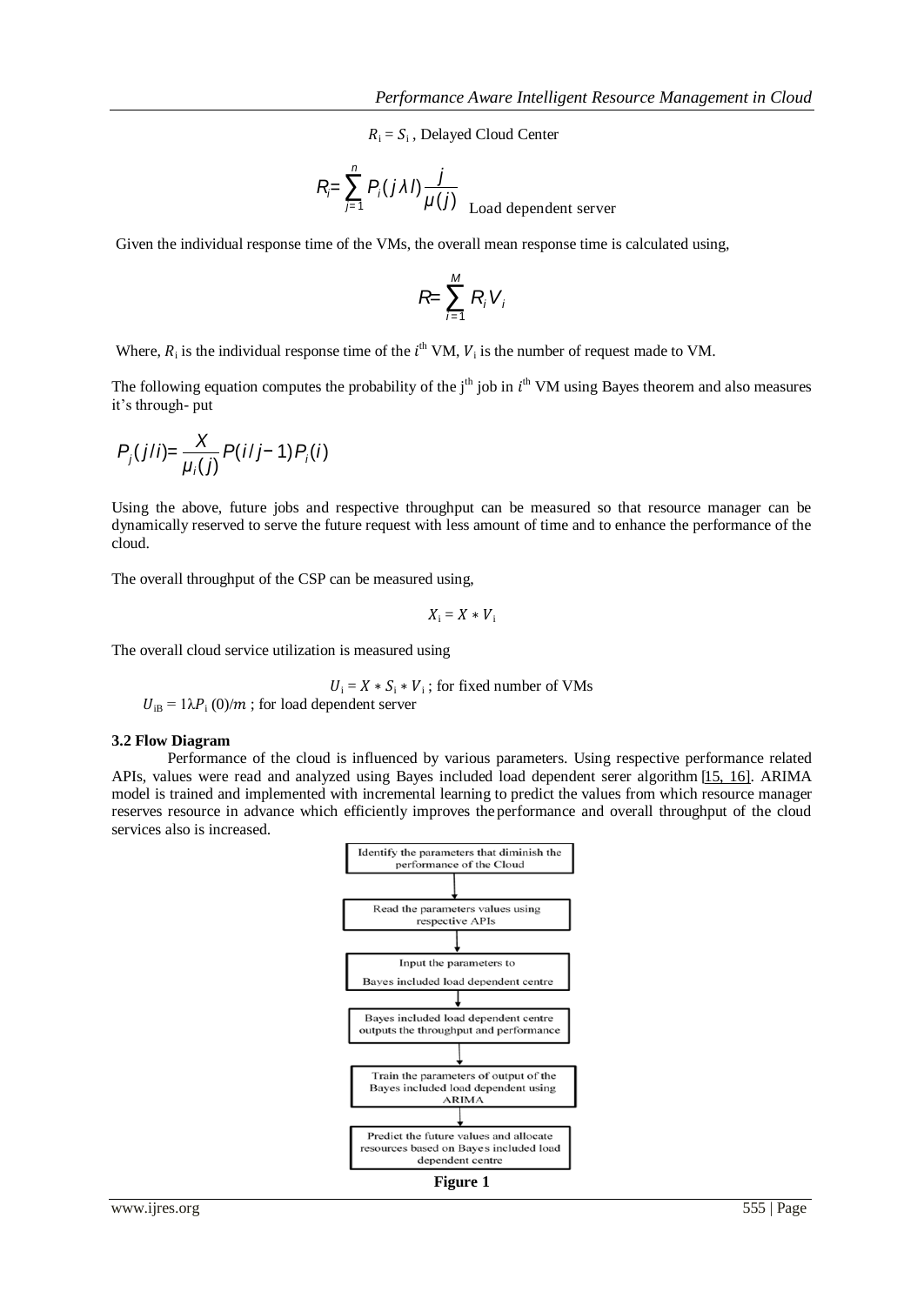$R_i = S_i$ , Delayed Cloud Center

$$
R = \sum_{j=1}^{n} P_j(j\lambda I) \frac{j}{\mu(j)}
$$
 Load dependent server

Given the individual response time of the VMs, the overall mean response time is calculated using,

$$
R = \sum_{i=1}^M R_i V_i
$$

Where,  $R_i$  is the individual response time of the  $i^{\text{th}}$  VM,  $V_i$  is the number of request made to VM.

The following equation computes the probability of the  $j<sup>th</sup>$  job in  $i<sup>th</sup>$  VM using Bayes theorem and also measures it's through- put

$$
P_j(j/i) = \frac{X}{\mu_i(j)} P(i/j - 1) P_i(i)
$$

Using the above, future jobs and respective throughput can be measured so that resource manager can be dynamically reserved to serve the future request with less amount of time and to enhance the performance of the cloud.

The overall throughput of the CSP can be measured using,

$$
X_i=X*V_i
$$

The overall cloud service utilization is measured using

$$
U_i = X \times S_i \times V_i
$$
; for fixed number of VMs

 $U_{\text{iB}} = 1\lambda P_i (0)/m$ ; for load dependent server

#### **3.2 Flow Diagram**

Performance of the cloud is influenced by various parameters. Using respective performance related APIs, values were read and analyzed using Bayes included load dependent serer algorithm [\[15, 16\]](#page-12-0). ARIMA model is trained and implemented with incremental learning to predict the values from which resource manager reserves resource in advance which efficiently improves the performance and overall throughput of the cloud services also is increased.

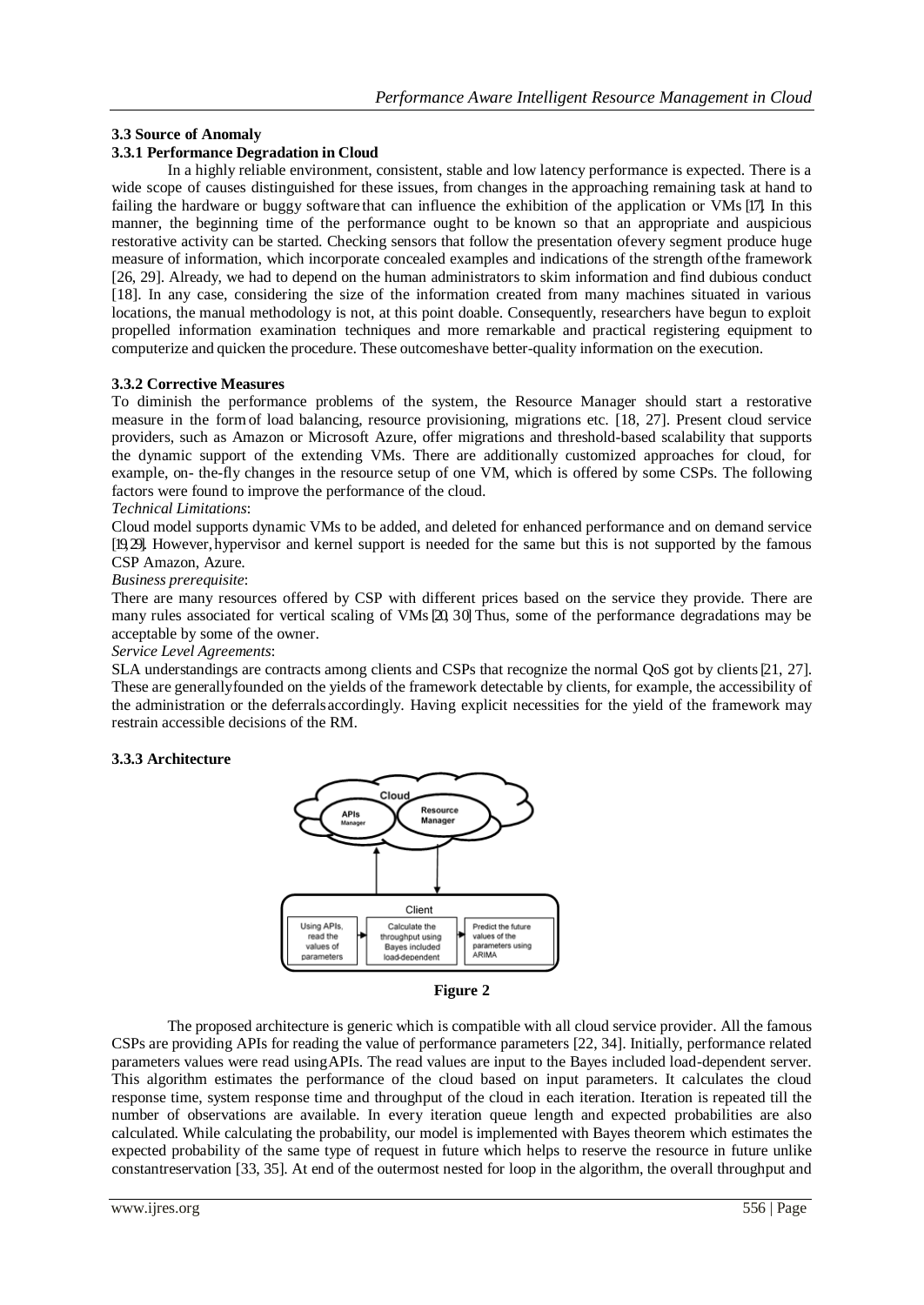# **3.3 Source of Anomaly**

#### **3.3.1 Performance Degradation in Cloud**

In a highly reliable environment, consistent, stable and low latency performance is expected. There is a wide scope of causes distinguished for these issues, from changes in the approaching remaining task at hand to failing the hardware or buggy software that can influence the exhibition of the application or VMs [17]. In this manner, the beginning time of the performance ought to be known so that an appropriate and auspicious restorative activity can be started. Checking sensors that follow the presentation ofevery segment produce huge measure of information, which incorporate concealed examples and indications of the strength ofthe framework [26, 29]. Already, we had to depend on the human administrators to skim information and find dubious conduct [18]. In any case, considering the size of the information created from many machines situated in various locations, the manual methodology is not, at this point doable. Consequently, researchers have begun to exploit propelled information examination techniques and more remarkable and practical registering equipment to computerize and quicken the procedure. These outcomeshave better-quality information on the execution.

#### **3.3.2 Corrective Measures**

To diminish the performance problems of the system, the Resource Manager should start a restorative measure in the formof load balancing, resource provisioning, migrations etc. [18, 27]. Present cloud service providers, such as Amazon or Microsoft Azure, offer migrations and threshold-based scalability that supports the dynamic support of the extending VMs. There are additionally customized approaches for cloud, for example, on- the-fly changes in the resource setup of one VM, which is offered by some CSPs. The following factors were found to improve the performance of the cloud.

#### *Technical Limitations*:

Cloud model supports dynamic VMs to be added, and deleted for enhanced performance and on demand service [19, 29]. However, hypervisor and kernel support is needed for the same but this is not supported by the famous CSP Amazon, Azure.

#### *Business prerequisite*:

There are many resources offered by CSP with different prices based on the service they provide. There are many rules associated for vertical scaling of VMs [20, 30] Thus, some of the performance degradations may be acceptable by some of the owner.

#### *Service Level Agreements*:

SLA understandings are contracts among clients and CSPs that recognize the normal QoS got by clients[21, 27]. These are generallyfounded on the yields of the framework detectable by clients, for example, the accessibility of the administration or the deferralsaccordingly. Having explicit necessities for the yield of the framework may restrain accessible decisions of the RM.

## **3.3.3 Architecture**





The proposed architecture is generic which is compatible with all cloud service provider. All the famous CSPs are providing APIs for reading the value of performance parameters [22, 34]. Initially, performance related parameters values were read usingAPIs. The read values are input to the Bayes included load-dependent server. This algorithm estimates the performance of the cloud based on input parameters. It calculates the cloud response time, system response time and throughput of the cloud in each iteration. Iteration is repeated till the number of observations are available. In every iteration queue length and expected probabilities are also calculated. While calculating the probability, our model is implemented with Bayes theorem which estimates the expected probability of the same type of request in future which helps to reserve the resource in future unlike constantreservation [33, 35]. At end of the outermost nested for loop in the algorithm, the overall throughput and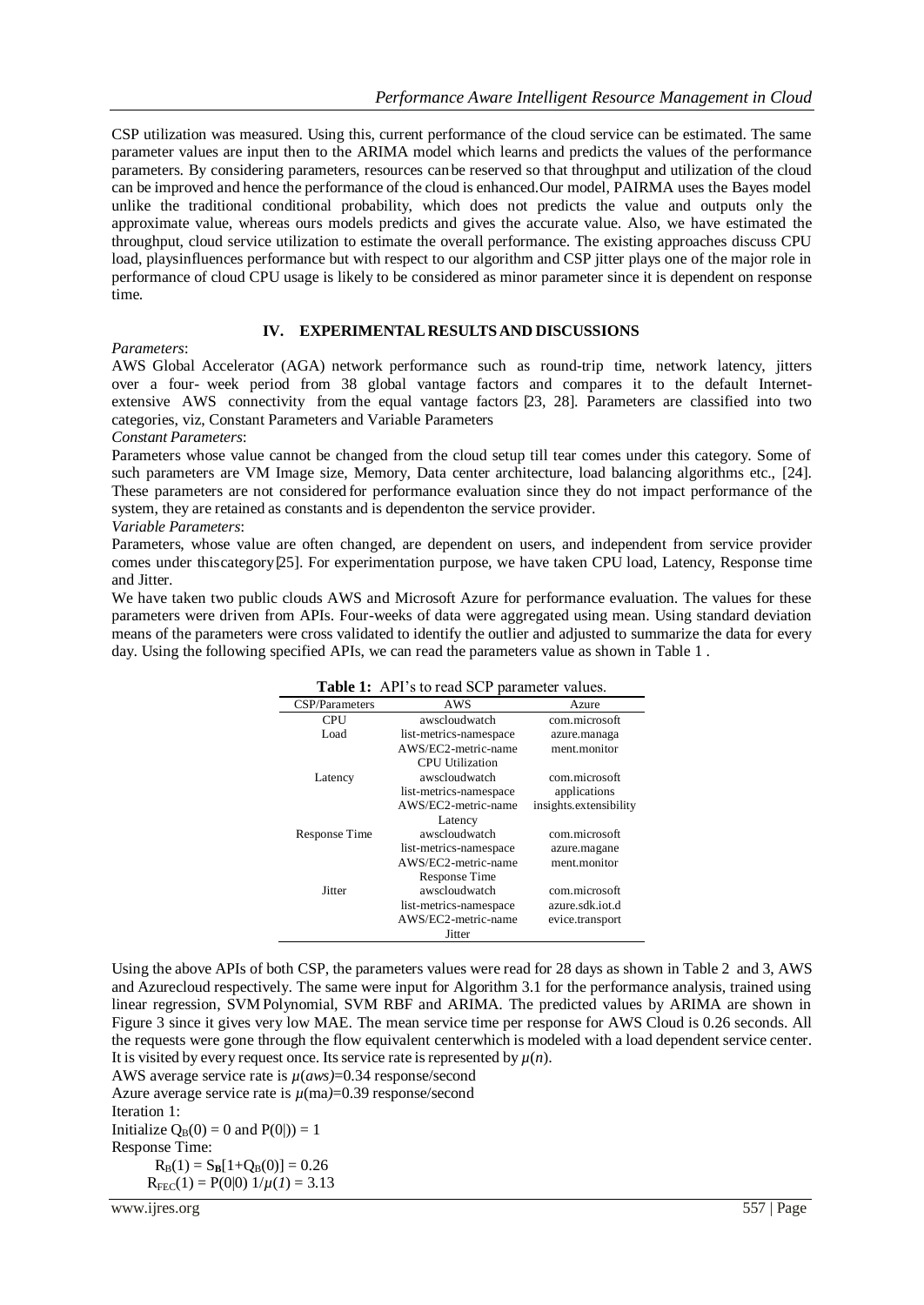CSP utilization was measured. Using this, current performance of the cloud service can be estimated. The same parameter values are input then to the ARIMA model which learns and predicts the values of the performance parameters. By considering parameters, resources canbe reserved so that throughput and utilization of the cloud can be improved and hence the performance of the cloud is enhanced.Our model, PAIRMA uses the Bayes model unlike the traditional conditional probability, which does not predicts the value and outputs only the approximate value, whereas ours models predicts and gives the accurate value. Also, we have estimated the throughput, cloud service utilization to estimate the overall performance. The existing approaches discuss CPU load, playsinfluences performance but with respect to our algorithm and CSP jitter plays one of the major role in performance of cloud CPU usage is likely to be considered as minor parameter since it is dependent on response time.

#### **IV. EXPERIMENTAL RESULTSAND DISCUSSIONS**

*Parameters*:

AWS Global Accelerator (AGA) network performance such as round-trip time, network latency, jitters over a four- week period from 38 global vantage factors and compares it to the default Internetextensive AWS connectivity from the equal vantage factors [23, 28]. Parameters are classified into two categories, viz, Constant Parameters and Variable Parameters

*Constant Parameters*:

Parameters whose value cannot be changed from the cloud setup till tear comes under this category. Some of such parameters are VM Image size, Memory, Data center architecture, load balancing algorithms etc., [24]. These parameters are not considered for performance evaluation since they do not impact performance of the system, they are retained as constants and is dependenton the service provider.

#### *Variable Parameters*:

Parameters, whose value are often changed, are dependent on users, and independent from service provider comes under this category [25]. For experimentation purpose, we have taken CPU load, Latency, Response time and Jitter.

We have taken two public clouds AWS and Microsoft Azure for performance evaluation. The values for these parameters were driven from APIs. Four-weeks of data were aggregated using mean. Using standard deviation means of the parameters were cross validated to identify the outlier and adjusted to summarize the data for every day. Using the following specified APIs, we can read the parameters value as shown in Table 1 .

| CSP/Parameters | AWS                                           | Azure                  |  |  |  |  |  |
|----------------|-----------------------------------------------|------------------------|--|--|--|--|--|
| CPU            | awscloudwatch                                 | com.microsoft          |  |  |  |  |  |
| Load           | list-metrics-namespace                        | azure.managa           |  |  |  |  |  |
|                | AWS/EC2-metric-name<br><b>CPU</b> Utilization | ment.monitor           |  |  |  |  |  |
| Latency        | awscloudwatch                                 | com.microsoft          |  |  |  |  |  |
|                | list-metrics-namespace                        | applications           |  |  |  |  |  |
|                | AWS/EC2-metric-name                           | insights.extensibility |  |  |  |  |  |
| Latency        |                                               |                        |  |  |  |  |  |
| Response Time  | awscloudwatch                                 | com.microsoft          |  |  |  |  |  |
|                | list-metrics-namespace                        | azure.magane           |  |  |  |  |  |
|                | AWS/EC2-metric-name                           | ment.monitor           |  |  |  |  |  |
|                | Response Time                                 |                        |  |  |  |  |  |
| Jitter         | awscloudwatch                                 | com.microsoft          |  |  |  |  |  |
|                | list-metrics-namespace                        | azure sdk iot d        |  |  |  |  |  |
|                | AWS/EC2-metric-name                           | evice.transport        |  |  |  |  |  |
|                | Jitter                                        |                        |  |  |  |  |  |

Using the above APIs of both CSP, the parameters values were read for 28 days as shown in Table 2 and 3, AWS and Azurecloud respectively. The same were input for Algorithm 3.1 for the performance analysis, trained using linear regression, SVMPolynomial, SVM RBF and ARIMA. The predicted values by ARIMA are shown in Figure 3 since it gives very low MAE. The mean service time per response for AWS Cloud is 0.26 seconds. All the requests were gone through the flow equivalent centerwhich is modeled with a load dependent service center. It is visited by every request once. Its service rate is represented by  $\mu(n)$ .

AWS average service rate is *µ*(*aws)*=0.34 response/second

Azure average service rate is  $\mu$ (ma)=0.39 response/second

Iteration 1:

Initialize  $Q_B(0) = 0$  and  $P(0|) = 1$ 

Response Time:

 $R_B(1) = S_B[1+Q_B(0)] = 0.26$  $R_{\text{FEC}}(1) = P(0|0) 1/\mu(1) = 3.13$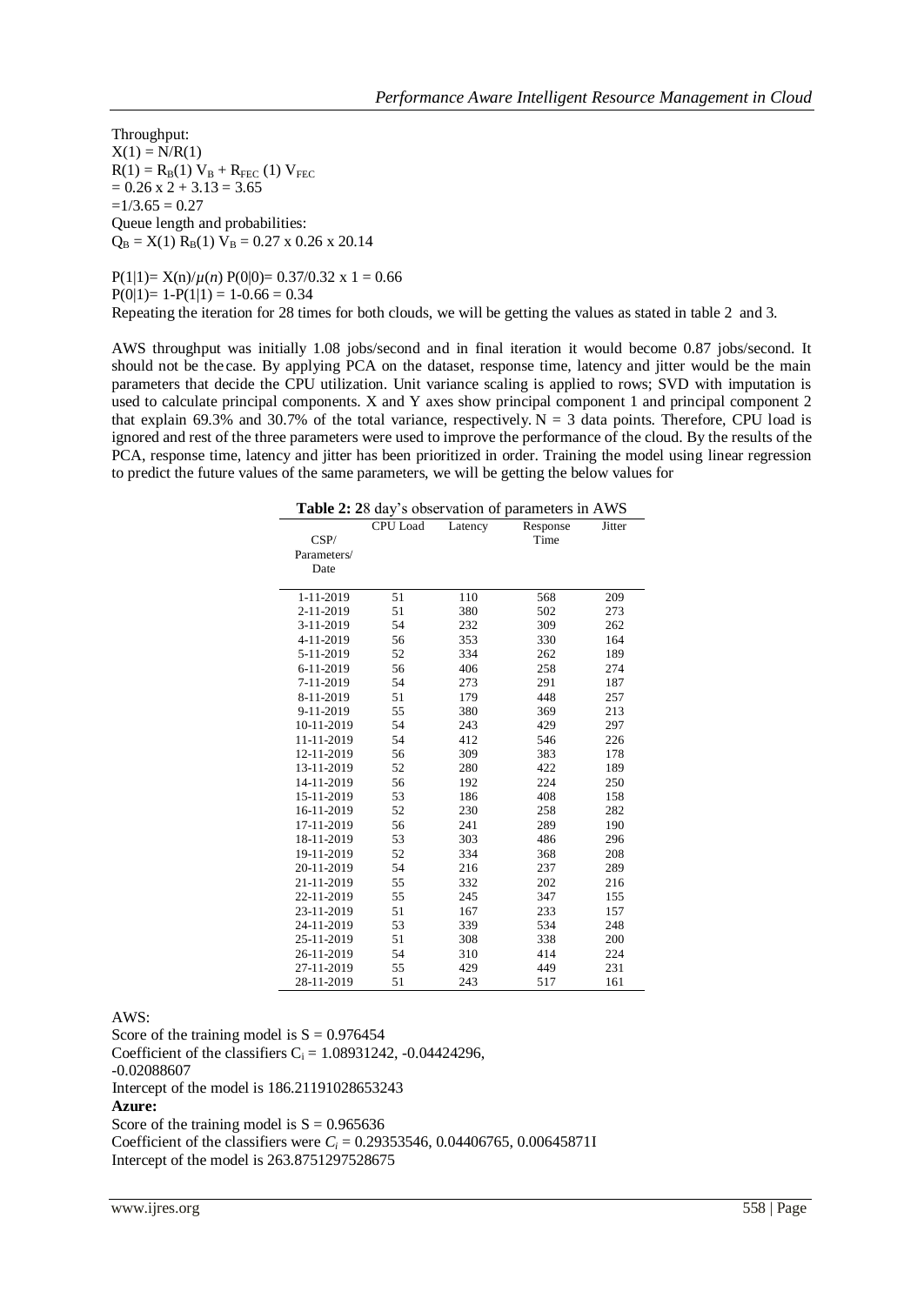Throughput:  $X(1) = N/R(1)$  $R(1) = R_B(1) V_B + R_{FEC} (1) V_{FEC}$  $= 0.26$  x 2 + 3.13 = 3.65  $=1/3.65 = 0.27$ Queue length and probabilities:  $Q_B = X(1) R_B(1) V_B = 0.27 \times 0.26 \times 20.14$ 

 $P(1|1) = X(n)/\mu(n) P(0|0) = 0.37/0.32 \times 1 = 0.66$  $P(0|1)= 1-P(1|1) = 1-0.66 = 0.34$ Repeating the iteration for 28 times for both clouds, we will be getting the values as stated in table 2 and 3.

AWS throughput was initially 1.08 jobs/second and in final iteration it would become 0.87 jobs/second. It should not be the case. By applying PCA on the dataset, response time, latency and jitter would be the main parameters that decide the CPU utilization. Unit variance scaling is applied to rows; SVD with imputation is used to calculate principal components. X and Y axes show principal component 1 and principal component 2 that explain 69.3% and 30.7% of the total variance, respectively.  $N = 3$  data points. Therefore, CPU load is ignored and rest of the three parameters were used to improve the performance of the cloud. By the results of the PCA, response time, latency and jitter has been prioritized in order. Training the model using linear regression to predict the future values of the same parameters, we will be getting the below values for

|  |  |  | Table 2: 28 day's observation of parameters in AWS |  |  |  |  |
|--|--|--|----------------------------------------------------|--|--|--|--|
|--|--|--|----------------------------------------------------|--|--|--|--|

|             |                 |            | <b>radic 2.</b> 20 day 3 00servation or parameters in $A$ w $B$ |            |
|-------------|-----------------|------------|-----------------------------------------------------------------|------------|
|             | <b>CPU</b> Load | Latency    | Response                                                        | Jitter     |
| CSP/        |                 |            | Time                                                            |            |
| Parameters/ |                 |            |                                                                 |            |
| Date        |                 |            |                                                                 |            |
| 1-11-2019   |                 |            |                                                                 |            |
| 2-11-2019   | 51<br>51        | 110<br>380 | 568<br>502                                                      | 209<br>273 |
| 3-11-2019   | 54              | 232        | 309                                                             | 262        |
| 4-11-2019   | 56              | 353        | 330                                                             | 164        |
|             |                 |            |                                                                 |            |
| 5-11-2019   | 52              | 334        | 262                                                             | 189        |
| 6-11-2019   | 56              | 406        | 258                                                             | 274        |
| 7-11-2019   | 54              | 273        | 291                                                             | 187        |
| 8-11-2019   | 51              | 179        | 448                                                             | 257        |
| 9-11-2019   | 55              | 380        | 369                                                             | 213        |
| 10-11-2019  | 54              | 243        | 429                                                             | 297        |
| 11-11-2019  | 54              | 412        | 546                                                             | 226        |
| 12-11-2019  | 56              | 309        | 383                                                             | 178        |
| 13-11-2019  | 52              | 280        | 422                                                             | 189        |
| 14-11-2019  | 56              | 192        | 224                                                             | 250        |
| 15-11-2019  | 53              | 186        | 408                                                             | 158        |
| 16-11-2019  | 52              | 230        | 258                                                             | 282        |
| 17-11-2019  | 56              | 241        | 289                                                             | 190        |
| 18-11-2019  | 53              | 303        | 486                                                             | 296        |
| 19-11-2019  | 52              | 334        | 368                                                             | 208        |
| 20-11-2019  | 54              | 216        | 237                                                             | 289        |
| 21-11-2019  | 55              | 332        | 202                                                             | 216        |
| 22-11-2019  | 55              | 245        | 347                                                             | 155        |
| 23-11-2019  | 51              | 167        | 233                                                             | 157        |
| 24-11-2019  | 53              | 339        | 534                                                             | 248        |
| 25-11-2019  | 51              | 308        | 338                                                             | 200        |
| 26-11-2019  | 54              | 310        | 414                                                             | 224        |
| 27-11-2019  | 55              | 429        | 449                                                             | 231        |
| 28-11-2019  | 51              | 243        | 517                                                             | 161        |

AWS:

Score of the training model is  $S = 0.976454$ Coefficient of the classifiers  $C_i = 1.08931242$ , -0.04424296, -0.02088607 Intercept of the model is 186.21191028653243 **Azure:** Score of the training model is  $S = 0.965636$ Coefficient of the classifiers were  $C_i = 0.29353546, 0.04406765, 0.00645871I$ Intercept of the model is 263.8751297528675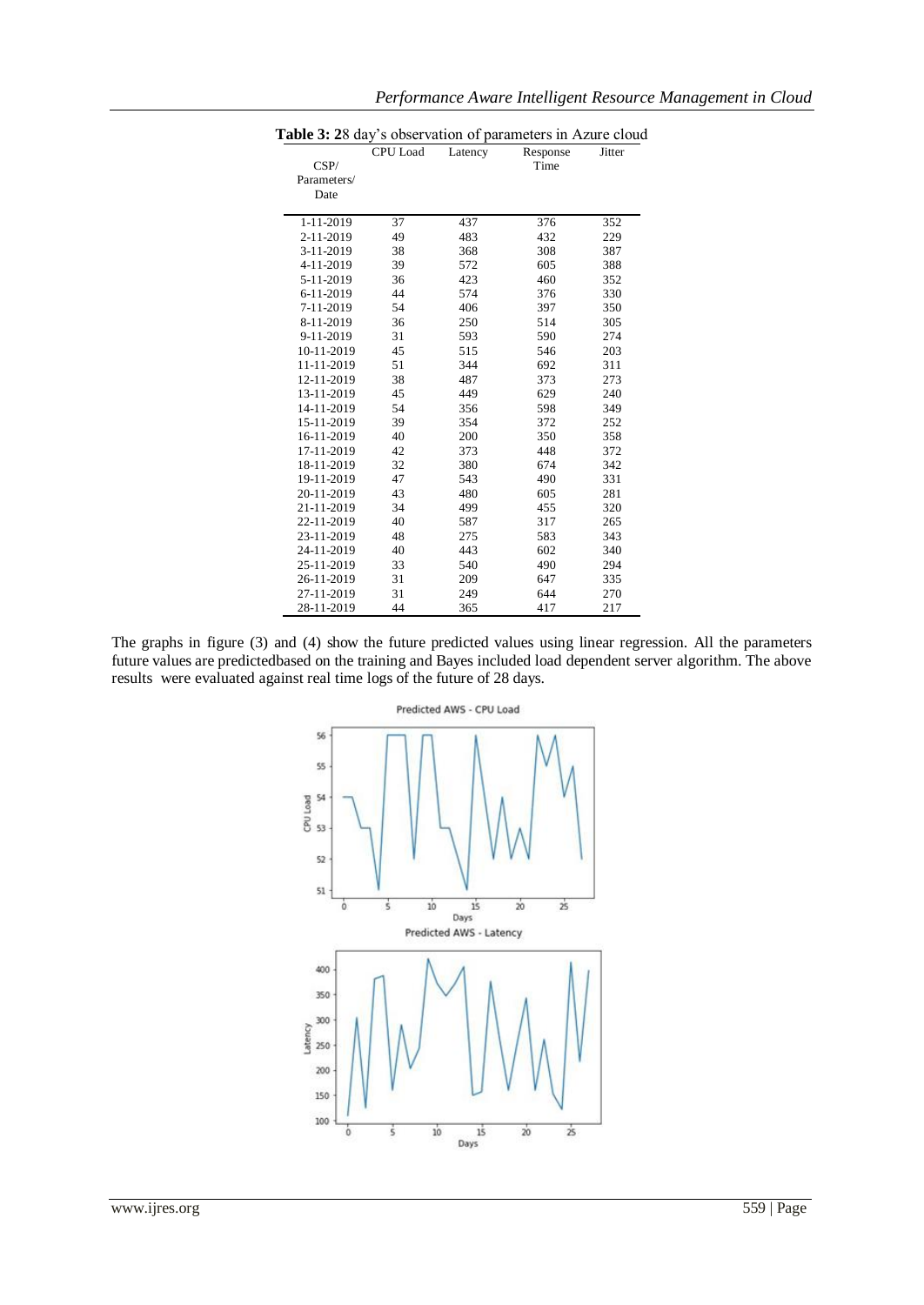| CSP/        | <b>CPU</b> Load | Latency | Response<br>Time | Jitter |
|-------------|-----------------|---------|------------------|--------|
| Parameters/ |                 |         |                  |        |
| Date        |                 |         |                  |        |
| 1-11-2019   | 37              | 437     | 376              | 352    |
| 2-11-2019   | 49              | 483     | 432              | 229    |
| 3-11-2019   | 38              | 368     | 308              | 387    |
| 4-11-2019   | 39              | 572     | 605              | 388    |
| 5-11-2019   | 36              | 423     | 460              | 352    |
| 6-11-2019   | 44              | 574     | 376              | 330    |
| 7-11-2019   | 54              | 406     | 397              | 350    |
| 8-11-2019   | 36              | 250     | 514              | 305    |
| 9-11-2019   | 31              | 593     | 590              | 274    |
| 10-11-2019  | 45              | 515     | 546              | 203    |
| 11-11-2019  | 51              | 344     | 692              | 311    |
| 12-11-2019  | 38              | 487     | 373              | 273    |
| 13-11-2019  | 45              | 449     | 629              | 240    |
| 14-11-2019  | 54              | 356     | 598              | 349    |
| 15-11-2019  | 39              | 354     | 372              | 252    |
| 16-11-2019  | 40              | 200     | 350              | 358    |
| 17-11-2019  | 42              | 373     | 448              | 372    |
| 18-11-2019  | 32              | 380     | 674              | 342    |
| 19-11-2019  | 47              | 543     | 490              | 331    |
| 20-11-2019  | 43              | 480     | 605              | 281    |
| 21-11-2019  | 34              | 499     | 455              | 320    |
| 22-11-2019  | 40              | 587     | 317              | 265    |
| 23-11-2019  | 48              | 275     | 583              | 343    |
| 24-11-2019  | 40              | 443     | 602              | 340    |
| 25-11-2019  | 33              | 540     | 490              | 294    |
| 26-11-2019  | 31              | 209     | 647              | 335    |
| 27-11-2019  | 31              | 249     | 644              | 270    |
| 28-11-2019  | 44              | 365     | 417              | 217    |

# *Performance Aware Intelligent Resource Management in Cloud*

The graphs in figure (3) and (4) show the future predicted values using linear regression. All the parameters future values are predictedbased on the training and Bayes included load dependent server algorithm. The above results were evaluated against real time logs of the future of 28 days.

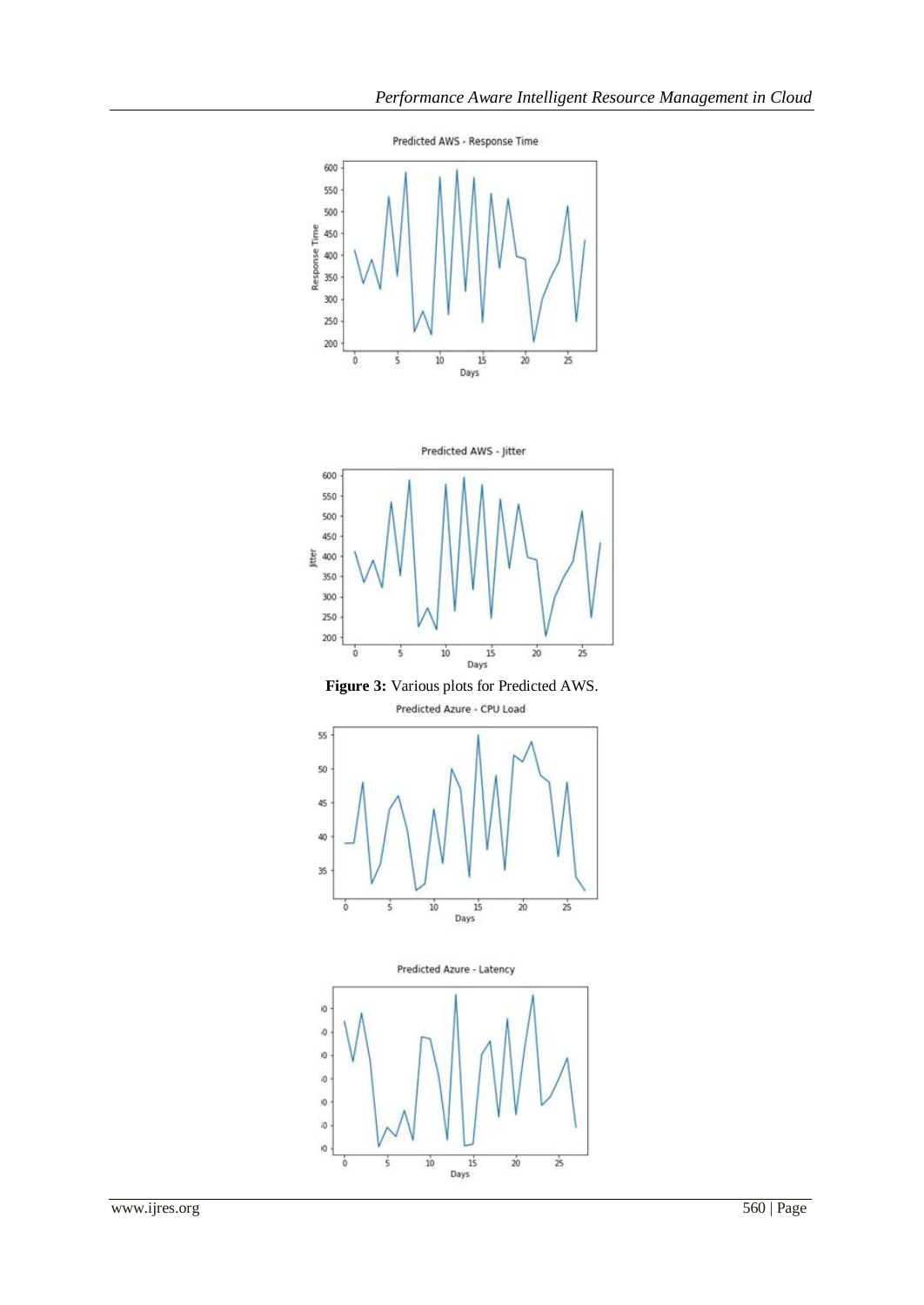



**Figure 3:** Various plots for Predicted AWS.



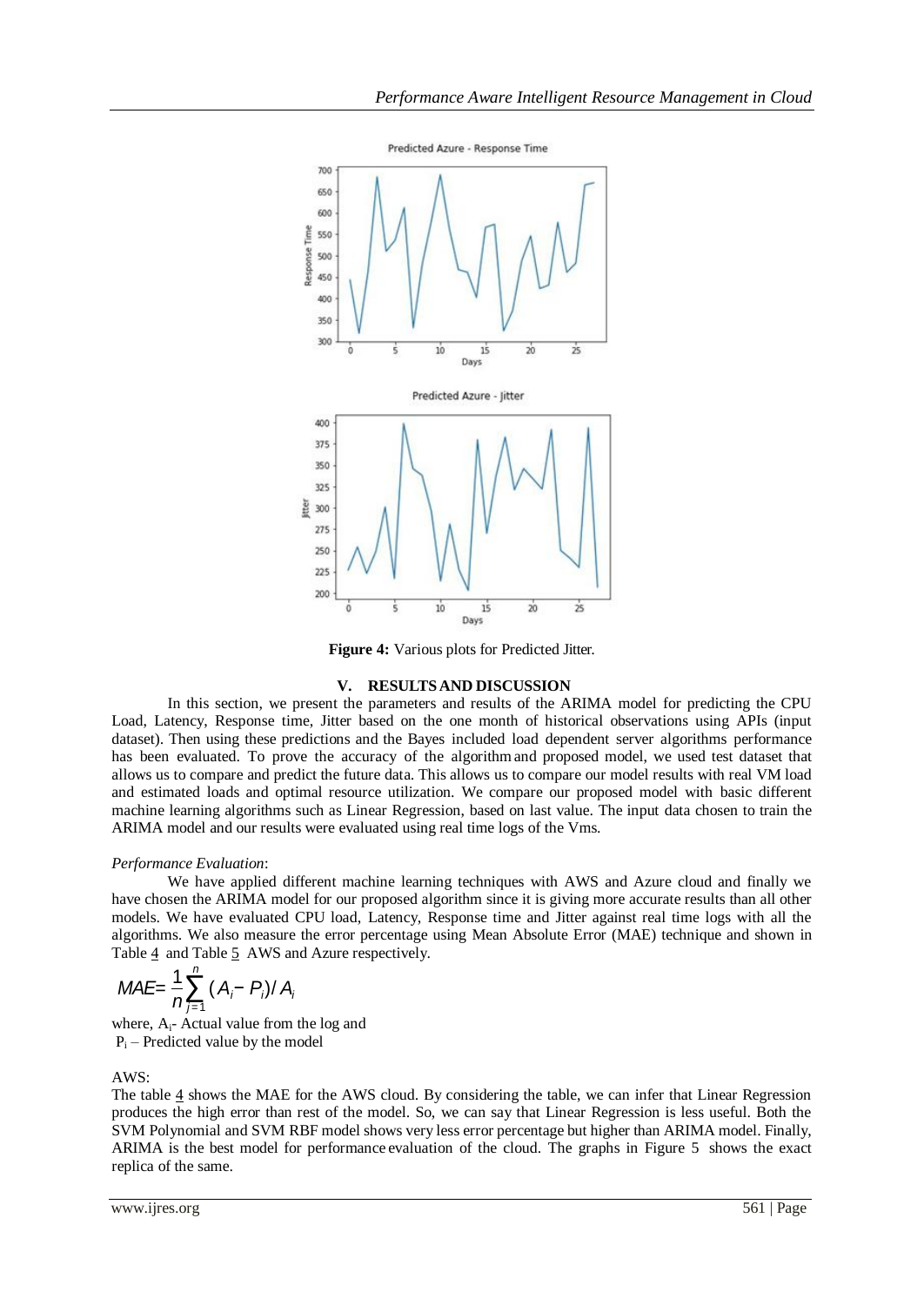

**Figure 4:** Various plots for Predicted Jitter*.*

#### **V. RESULTSAND DISCUSSION**

In this section, we present the parameters and results of the ARIMA model for predicting the CPU Load, Latency, Response time, Jitter based on the one month of historical observations using APIs (input dataset). Then using these predictions and the Bayes included load dependent server algorithms performance has been evaluated. To prove the accuracy of the algorithm and proposed model, we used test dataset that allows us to compare and predict the future data. This allows us to compare our model results with real VM load and estimated loads and optimal resource utilization. We compare our proposed model with basic different machine learning algorithms such as Linear Regression, based on last value. The input data chosen to train the ARIMA model and our results were evaluated using real time logs of the Vms.

#### *Performance Evaluation*:

We have applied different machine learning techniques with AWS and Azure cloud and finally we have chosen the ARIMA model for our proposed algorithm since it is giving more accurate results than all other models. We have evaluated CPU load, Latency, Response time and Jitter against real time logs with all the algorithms. We also measure the error percentage using Mean Absolute Error (MAE) technique and shown in Table 4 and Table 5 AWS and Azure respectively.

$$
MAE = \frac{1}{n} \sum_{j=1}^{n} (A_i - P_i) / A_i
$$

where,  $A_i$ - Actual value from the log and  $P_i$  – Predicted value by the model

 $AWS$ 

The table 4 shows the MAE for the AWS cloud. By considering the table, we can infer that Linear Regression produces the high error than rest of the model. So, we can say that Linear Regression is less useful. Both the SVM Polynomial and SVM RBF model shows very less error percentage but higher than ARIMA model. Finally, ARIMA is the best model for performance evaluation of the cloud. The graphs in Figure 5 shows the exact replica of the same.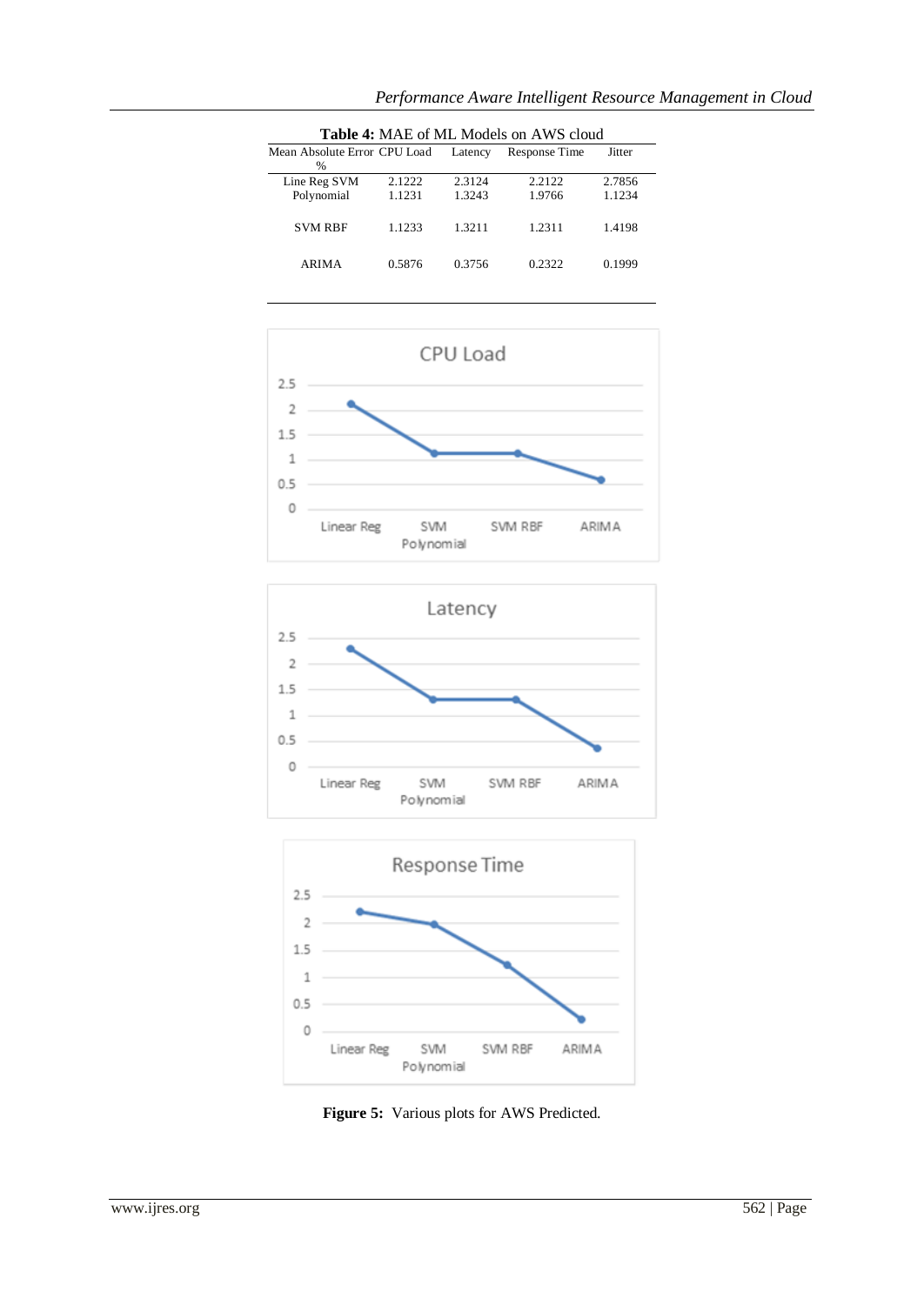| <b>Table 4: MAE of ML Models on AWS cloud</b> |        |         |               |        |  |  |
|-----------------------------------------------|--------|---------|---------------|--------|--|--|
| Mean Absolute Error CPU Load                  |        | Latency | Response Time | Jitter |  |  |
| $\%$                                          |        |         |               |        |  |  |
| Line Reg SVM                                  | 2.1222 | 2.3124  | 2.2122        | 2.7856 |  |  |
| Polynomial                                    | 1.1231 | 1.3243  | 1.9766        | 1.1234 |  |  |
| <b>SVM RBF</b>                                | 1.1233 | 1.3211  | 1.2311        | 1.4198 |  |  |
| <b>ARIMA</b>                                  | 0.5876 | 0.3756  | 0.2322        | 0.1999 |  |  |







**Figure 5:** Various plots for AWS Predicted.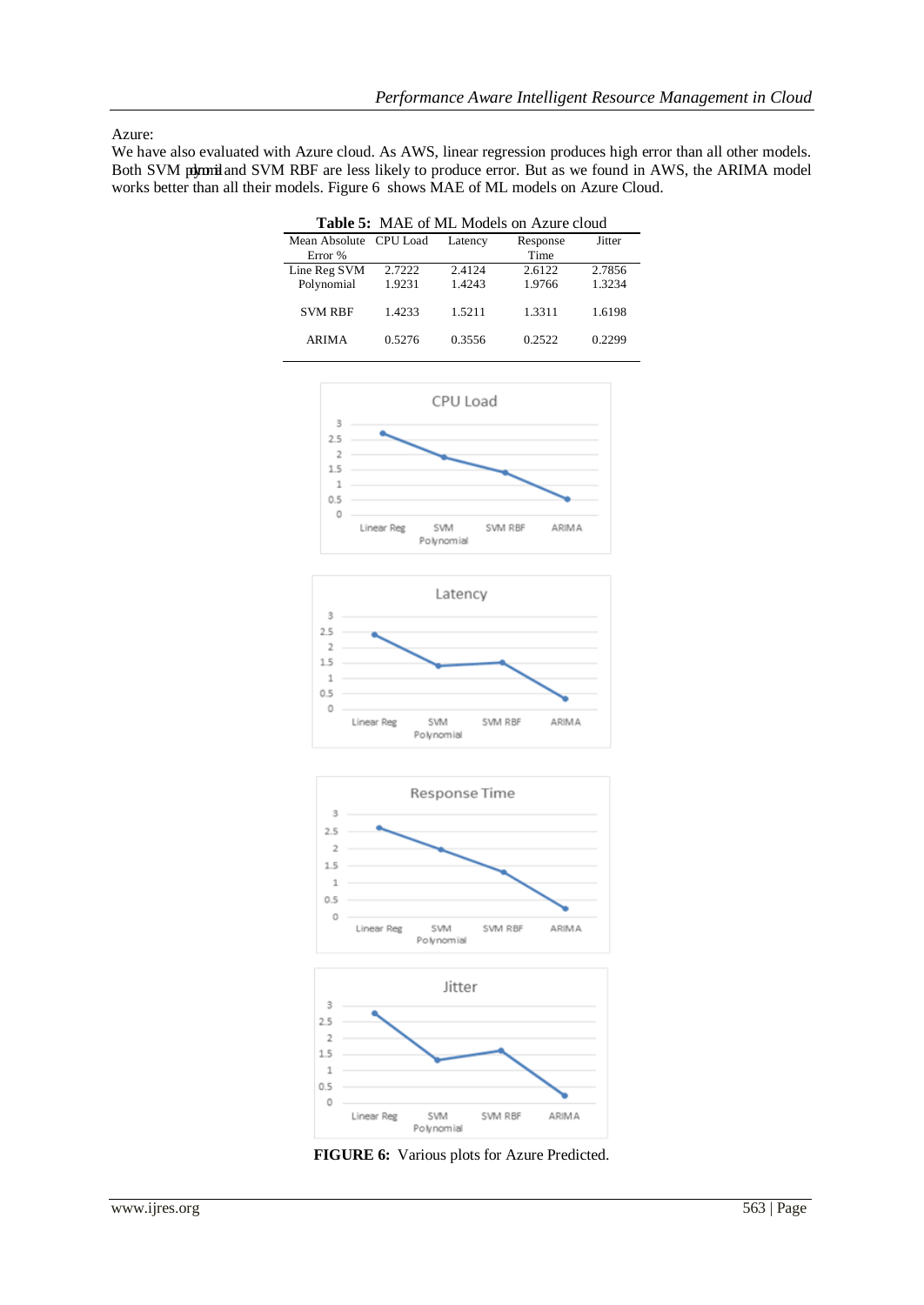#### Azure:

We have also evaluated with Azure cloud. As AWS, linear regression produces high error than all other models. Both SVM polymiand SVM RBF are less likely to produce error. But as we found in AWS, the ARIMA model works better than all their models. Figure 6 shows MAE of ML models on Azure Cloud.

| <b>Table 5:</b> MAE of ML Models on Azure cloud |        |         |          |        |  |  |
|-------------------------------------------------|--------|---------|----------|--------|--|--|
| Mean Absolute CPU Load                          |        | Latency | Response | Jitter |  |  |
| Error %                                         |        |         | Time     |        |  |  |
| Line Reg SVM                                    | 2.7222 | 2.4124  | 2.6122   | 2.7856 |  |  |
| Polynomial                                      | 1.9231 | 1.4243  | 1.9766   | 1.3234 |  |  |
| <b>SVM RBF</b>                                  | 1.4233 | 1.5211  | 1.3311   | 1.6198 |  |  |
| <b>ARIMA</b>                                    | 0.5276 | 0.3556  | 0.2522   | 0.2299 |  |  |







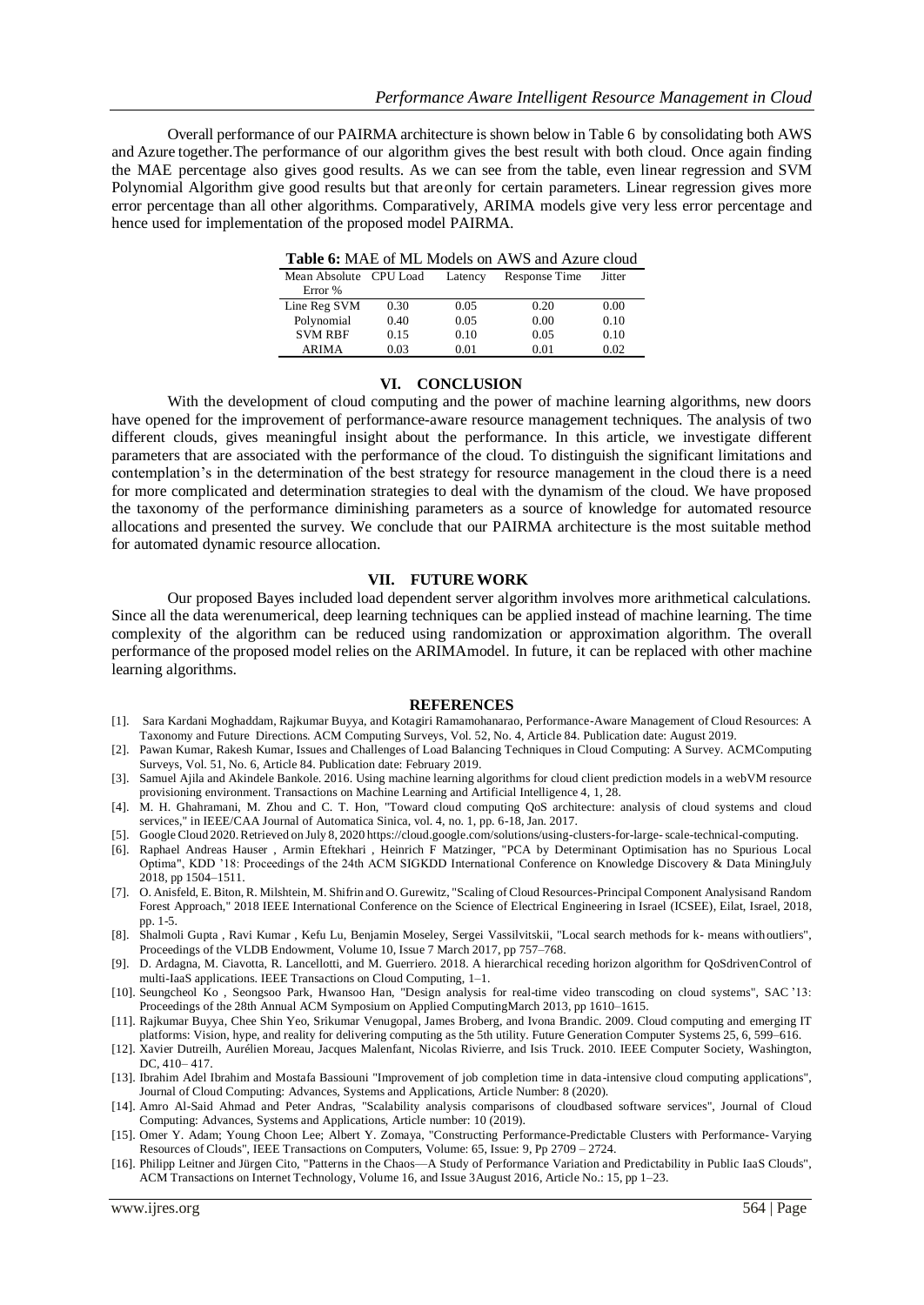Overall performance of our PAIRMA architecture is shown below in Table 6 by consolidating both AWS and Azure together.The performance of our algorithm gives the best result with both cloud. Once again finding the MAE percentage also gives good results. As we can see from the table, even linear regression and SVM Polynomial Algorithm give good results but that areonly for certain parameters. Linear regression gives more error percentage than all other algorithms. Comparatively, ARIMA models give very less error percentage and hence used for implementation of the proposed model PAIRMA.

| <b>Table 6:</b> MAE of ML Models on AWS and Azure cloud |  |  |
|---------------------------------------------------------|--|--|
|---------------------------------------------------------|--|--|

| Mean Absolute CPU Load |      | Latency | Response Time | Jitter |
|------------------------|------|---------|---------------|--------|
| Error %                |      |         |               |        |
| Line Reg SVM           | 0.30 | 0.05    | 0.20          | 0.00   |
| Polynomial             | 0.40 | 0.05    | 0.00          | 0.10   |
| <b>SVM RBF</b>         | 0.15 | 0.10    | 0.05          | 0.10   |
| <b>ARIMA</b>           | 0.03 | 0.01    | 0.01          | 0.02   |

#### **VI. CONCLUSION**

With the development of cloud computing and the power of machine learning algorithms, new doors have opened for the improvement of performance-aware resource management techniques. The analysis of two different clouds, gives meaningful insight about the performance. In this article, we investigate different parameters that are associated with the performance of the cloud. To distinguish the significant limitations and contemplation's in the determination of the best strategy for resource management in the cloud there is a need for more complicated and determination strategies to deal with the dynamism of the cloud. We have proposed the taxonomy of the performance diminishing parameters as a source of knowledge for automated resource allocations and presented the survey. We conclude that our PAIRMA architecture is the most suitable method for automated dynamic resource allocation.

#### **VII. FUTURE WORK**

Our proposed Bayes included load dependent server algorithm involves more arithmetical calculations. Since all the data werenumerical, deep learning techniques can be applied instead of machine learning. The time complexity of the algorithm can be reduced using randomization or approximation algorithm. The overall performance of the proposed model relies on the ARIMAmodel. In future, it can be replaced with other machine learning algorithms.

#### **REFERENCES**

- [1]. Sara Kardani Moghaddam, Rajkumar Buyya, and Kotagiri Ramamohanarao, Performance-Aware Management of Cloud Resources: A Taxonomy and Future Directions. ACM Computing Surveys, Vol. 52, No. 4, Article 84. Publication date: August 2019.
- [2]. Pawan Kumar, Rakesh Kumar, Issues and Challenges of Load Balancing Techniques in Cloud Computing: A Survey. ACMComputing Surveys, Vol. 51, No. 6, Article 84. Publication date: February 2019.
- [3]. Samuel Ajila and Akindele Bankole. 2016. Using machine learning algorithms for cloud client prediction models in a webVM resource provisioning environment. Transactions on Machine Learning and Artificial Intelligence 4, 1, 28.
- [4]. M. H. Ghahramani, M. Zhou and C. T. Hon, "Toward cloud computing QoS architecture: analysis of cloud systems and cloud services," in IEEE/CAA Journal of Automatica Sinica, vol. 4, no. 1, pp. 6-18, Jan. 2017.
- [5]. GoogleCloud 2020.Retrieved on July 8, 2020 https://cloud.google.com/solutions/using-clusters-for-large-scale-technical-computing.
- [6]. Raphael Andreas Hauser , Armin Eftekhari , Heinrich F Matzinger, "PCA by Determinant Optimisation has no Spurious Local Optima", KDD '18: Proceedings of the 24th ACM SIGKDD International Conference on Knowledge Discovery & Data MiningJuly 2018, pp 1504–1511.
- [7]. O. Anisfeld, E. Biton, R. Milshtein, M. Shifrin and O. Gurewitz, "Scaling of Cloud Resources-Principal Component Analysisand Random Forest Approach," 2018 IEEE International Conference on the Science of Electrical Engineering in Israel (ICSEE), Eilat, Israel, 2018, pp. 1-5.
- [8]. Shalmoli Gupta , Ravi Kumar , Kefu Lu, Benjamin Moseley, Sergei Vassilvitskii, "Local search methods for k- means withoutliers", Proceedings of the VLDB Endowment, Volume 10, Issue 7 March 2017, pp 757–768.
- [9]. D. Ardagna, M. Ciavotta, R. Lancellotti, and M. Guerriero. 2018. A hierarchical receding horizon algorithm for QoSdrivenControl of multi-IaaS applications. IEEE Transactions on Cloud Computing, 1–1.
- [10]. Seungcheol Ko , Seongsoo Park, Hwansoo Han, "Design analysis for real-time video transcoding on cloud systems", SAC '13: Proceedings of the 28th Annual ACM Symposium on Applied ComputingMarch 2013, pp 1610–1615.
- [11]. Rajkumar Buyya, Chee Shin Yeo, Srikumar Venugopal, James Broberg, and Ivona Brandic. 2009. Cloud computing and emerging IT platforms: Vision, hype, and reality for delivering computing as the 5th utility. Future Generation Computer Systems 25, 6, 599–616.
- [12]. Xavier Dutreilh, Aurélien Moreau, Jacques Malenfant, Nicolas Rivierre, and Isis Truck. 2010. IEEE Computer Society, Washington, DC, 410–417.
- [13]. Ibrahim Adel Ibrahim and Mostafa Bassiouni "Improvement of job completion time in data-intensive cloud computing applications", Journal of Cloud Computing: Advances, Systems and Applications, Article Number: 8 (2020).
- [14]. Amro Al-Said Ahmad and Peter Andras, "Scalability analysis comparisons of cloudbased software services", Journal of Cloud Computing: Advances, Systems and Applications, Article number: 10 (2019).
- [15]. Omer Y. Adam; Young Choon Lee; Albert Y. Zomaya, "Constructing Performance-Predictable Clusters with Performance- Varying Resources of Clouds", IEEE Transactions on Computers, Volume: 65, Issue: 9, Pp 2709 – 2724.
- <span id="page-12-0"></span>[16]. Philipp Leitner and Jürgen Cito, "Patterns in the Chaos—A Study of Performance Variation and Predictability in Public IaaS Clouds", ACM Transactions on Internet Technology, Volume 16, and Issue 3August 2016, Article No.: 15, pp 1–23.